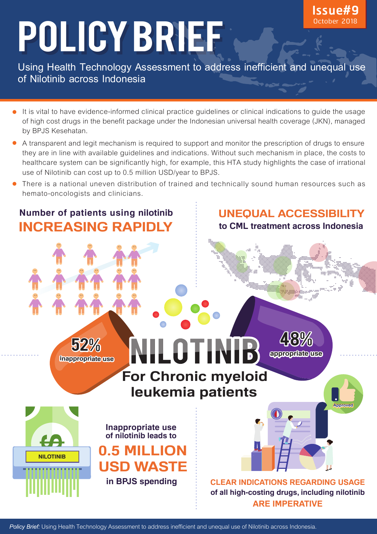# POLICY BRIEF

**Using Health Technology Assessment to address inefficient and unequal use of Nilotinib across Indonesia**

- It is vital to have evidence-informed clinical practice guidelines or clinical indications to guide the usage of high cost drugs in the benefit package under the Indonesian universal health coverage (JKN), managed by BPJS Kesehatan.
- A transparent and legit mechanism is required to support and monitor the prescription of drugs to ensure they are in line with available guidelines and indications. Without such mechanism in place, the costs to healthcare system can be significantly high, for example, this HTA study highlights the case of irrational use of Nilotinib can cost up to 0.5 million USD/year to BPJS.
- There is a national uneven distribution of trained and technically sound human resources such as hemato-oncologists and clinicians.

# **Number of patients using nilotinib INCREASING RAPIDLY**

52%

**inappropriate use**

**NILOTINIB**

**UNEQUAL ACCESSIBILITY**

**Issue#9** October 2018

**to CML treatment across Indonesia**

# NILOTIN **For Chronic myeloid leukemia patients**

**appropriate use**

**Approved**

48%

<mark>i</mark>k ber

 **of all high-costing drugs, including nilotinib ARE IMPERATIVE CLEAR INDICATIONS REGARDING USAGE**

**Inappropriate use of nilotinib leads to** 

 **0.5 MILLION**

 **USD WASTE**

 **in BPJS spending**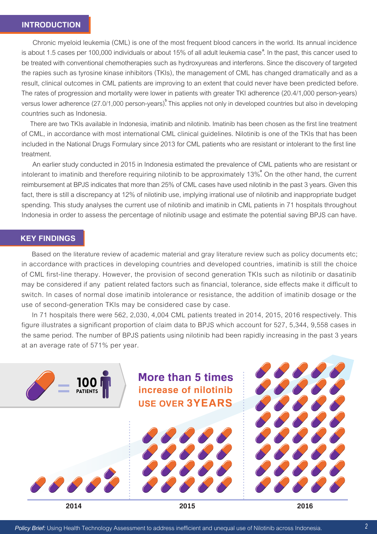Chronic myeloid leukemia (CML) is one of the most frequent blood cancers in the world. Its annual incidence is about 1.5 cases per 100,000 individuals or about 15% of all adult leukemia case<sup>a</sup>. In the past, this cancer used to be treated with conventional chemotherapies such as hydroxyureas and interferons. Since the discovery of targeted the rapies such as tyrosine kinase inhibitors (TKIs), the management of CML has changed dramatically and as a result, clinical outcomes in CML patients are improving to an extent that could never have been predicted before. The rates of progression and mortality were lower in patients with greater TKI adherence (20.4/1,000 person-years) versus lower adherence (27.0/1,000 person-years). This applies not only in developed countries but also in developing countries such as Indonesia.

 There are two TKIs available in Indonesia, imatinib and nilotinib. Imatinib has been chosen as the first line treatment of CML, in accordance with most international CML clinical guidelines. Nilotinib is one of the TKIs that has been included in the National Drugs Formulary since 2013 for CML patients who are resistant or intolerant to the first line treatment.

 An earlier study conducted in 2015 in Indonesia estimated the prevalence of CML patients who are resistant or intolerant to imatinib and therefore requiring nilotinib to be approximately 13%. On the other hand, the current **a** reimbursement at BPJS indicates that more than 25% of CML cases have used nilotinib in the past 3 years. Given this fact, there is still a discrepancy at 12% of nilotinib use, implying irrational use of nilotinib and inappropriate budget spending. This study analyses the current use of nilotinib and imatinib in CML patients in 71 hospitals throughout Indonesia in order to assess the percentage of nilotinib usage and estimate the potential saving BPJS can have.

#### **KEY FINDINGS**

 Based on the literature review of academic material and gray literature review such as policy documents etc; in accordance with practices in developing countries and developed countries, imatinib is still the choice of CML first-line therapy. However, the provision of second generation TKIs such as nilotinib or dasatinib may be considered if any patient related factors such as financial, tolerance, side effects make it difficult to switch. In cases of normal dose imatinib intolerance or resistance, the addition of imatinib dosage or the use of second-generation TKIs may be considered case by case.

 In 71 hospitals there were 562, 2,030, 4,004 CML patients treated in 2014, 2015, 2016 respectively. This figure illustrates a significant proportion of claim data to BPJS which account for 527, 5,344, 9,558 cases in the same period. The number of BPJS patients using nilotinib had been rapidly increasing in the past 3 years at an average rate of 571% per year.

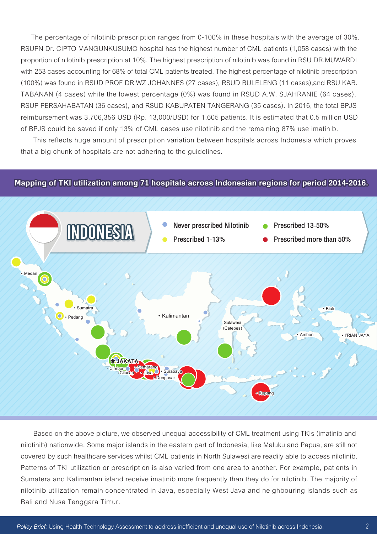The percentage of nilotinib prescription ranges from 0-100% in these hospitals with the average of 30%. RSUPN Dr. CIPTO MANGUNKUSUMO hospital has the highest number of CML patients (1,058 cases) with the proportion of nilotinib prescription at 10%. The highest prescription of nilotinib was found in RSU DR.MUWARDI with 253 cases accounting for 68% of total CML patients treated. The highest percentage of nilotinib prescription (100%) was found in RSUD PROF DR WZ JOHANNES (27 cases), RSUD BULELENG (11 cases),and RSU KAB. TABANAN (4 cases) while the lowest percentage (0%) was found in RSUD A.W. SJAHRANIE (64 cases), RSUP PERSAHABATAN (36 cases), and RSUD KABUPATEN TANGERANG (35 cases). In 2016, the total BPJS reimbursement was 3,706,356 USD (Rp. 13,000/USD) for 1,605 patients. It is estimated that 0.5 million USD of BPJS could be saved if only 13% of CML cases use nilotinib and the remaining 87% use imatinib.

 This reflects huge amount of prescription variation between hospitals across Indonesia which proves that a big chunk of hospitals are not adhering to the guidelines.

#### **Mapping of TKI utilization among 71 hospitals across Indonesian regions for period 2014-2016.**



 Based on the above picture, we observed unequal accessibility of CML treatment using TKIs (imatinib and nilotinib) nationwide. Some major islands in the eastern part of Indonesia, like Maluku and Papua, are still not covered by such healthcare services whilst CML patients in North Sulawesi are readily able to access nilotinib. Patterns of TKI utilization or prescription is also varied from one area to another. For example, patients in Sumatera and Kalimantan island receive imatinib more frequently than they do for nilotinib. The majority of nilotinib utilization remain concentrated in Java, especially West Java and neighbouring islands such as Bali and Nusa Tenggara Timur.